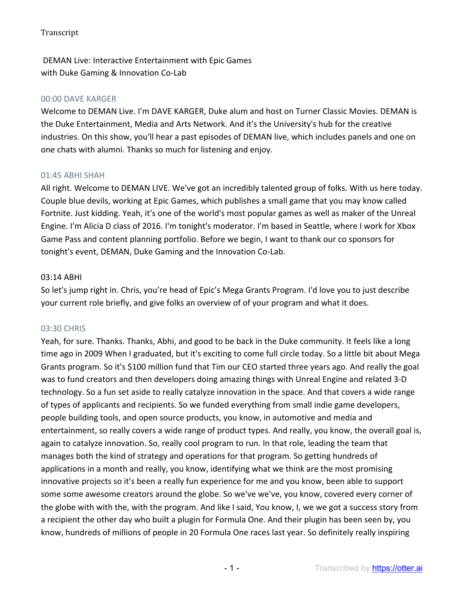DEMAN Live: Interactive Entertainment with Epic Games with Duke Gaming & Innovation Co-Lab

#### 00:00 DAVE KARGER

Welcome to DEMAN Live. I'm DAVE KARGER, Duke alum and host on Turner Classic Movies. DEMAN is the Duke Entertainment, Media and Arts Network. And it's the University's hub for the creative industries. On this show, you'll hear a past episodes of DEMAN live, which includes panels and one on one chats with alumni. Thanks so much for listening and enjoy.

#### 01:45 ABHI SHAH

All right. Welcome to DEMAN LIVE. We've got an incredibly talented group of folks. With us here today. Couple blue devils, working at Epic Games, which publishes a small game that you may know called Fortnite. Just kidding. Yeah, it's one of the world's most popular games as well as maker of the Unreal Engine. I'm Alicia D class of 2016. I'm tonight's moderator. I'm based in Seattle, where I work for Xbox Game Pass and content planning portfolio. Before we begin, I want to thank our co sponsors for tonight's event, DEMAN, Duke Gaming and the Innovation Co-Lab.

#### 03:14 ABHI

So let's jump right in. Chris, you're head of Epic's Mega Grants Program. I'd love you to just describe your current role briefly, and give folks an overview of of your program and what it does.

#### 03:30 CHRIS

Yeah, for sure. Thanks. Thanks, Abhi, and good to be back in the Duke community. It feels like a long time ago in 2009 When I graduated, but it's exciting to come full circle today. So a little bit about Mega Grants program. So it's \$100 million fund that Tim our CEO started three years ago. And really the goal was to fund creators and then developers doing amazing things with Unreal Engine and related 3-D technology. So a fun set aside to really catalyze innovation in the space. And that covers a wide range of types of applicants and recipients. So we funded everything from small indie game developers, people building tools, and open source products, you know, in automotive and media and entertainment, so really covers a wide range of product types. And really, you know, the overall goal is, again to catalyze innovation. So, really cool program to run. In that role, leading the team that manages both the kind of strategy and operations for that program. So getting hundreds of applications in a month and really, you know, identifying what we think are the most promising innovative projects so it's been a really fun experience for me and you know, been able to support some some awesome creators around the globe. So we've we've, you know, covered every corner of the globe with with the, with the program. And like I said, You know, I, we we got a success story from a recipient the other day who built a plugin for Formula One. And their plugin has been seen by, you know, hundreds of millions of people in 20 Formula One races last year. So definitely really inspiring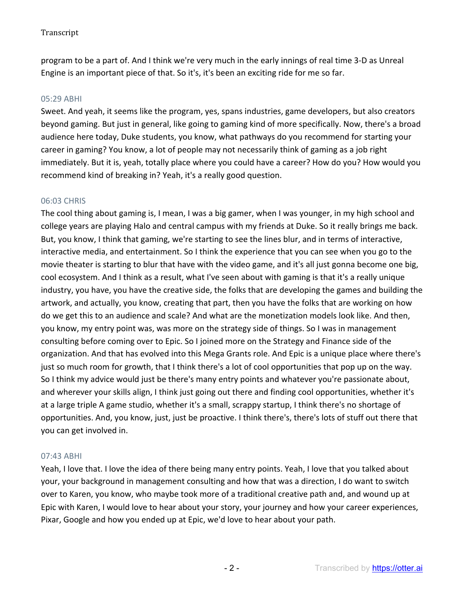program to be a part of. And I think we're very much in the early innings of real time 3-D as Unreal Engine is an important piece of that. So it's, it's been an exciting ride for me so far.

#### 05:29 ABHI

Sweet. And yeah, it seems like the program, yes, spans industries, game developers, but also creators beyond gaming. But just in general, like going to gaming kind of more specifically. Now, there's a broad audience here today, Duke students, you know, what pathways do you recommend for starting your career in gaming? You know, a lot of people may not necessarily think of gaming as a job right immediately. But it is, yeah, totally place where you could have a career? How do you? How would you recommend kind of breaking in? Yeah, it's a really good question.

### 06:03 CHRIS

The cool thing about gaming is, I mean, I was a big gamer, when I was younger, in my high school and college years are playing Halo and central campus with my friends at Duke. So it really brings me back. But, you know, I think that gaming, we're starting to see the lines blur, and in terms of interactive, interactive media, and entertainment. So I think the experience that you can see when you go to the movie theater is starting to blur that have with the video game, and it's all just gonna become one big, cool ecosystem. And I think as a result, what I've seen about with gaming is that it's a really unique industry, you have, you have the creative side, the folks that are developing the games and building the artwork, and actually, you know, creating that part, then you have the folks that are working on how do we get this to an audience and scale? And what are the monetization models look like. And then, you know, my entry point was, was more on the strategy side of things. So I was in management consulting before coming over to Epic. So I joined more on the Strategy and Finance side of the organization. And that has evolved into this Mega Grants role. And Epic is a unique place where there's just so much room for growth, that I think there's a lot of cool opportunities that pop up on the way. So I think my advice would just be there's many entry points and whatever you're passionate about, and wherever your skills align, I think just going out there and finding cool opportunities, whether it's at a large triple A game studio, whether it's a small, scrappy startup, I think there's no shortage of opportunities. And, you know, just, just be proactive. I think there's, there's lots of stuff out there that you can get involved in.

### 07:43 ABHI

Yeah, I love that. I love the idea of there being many entry points. Yeah, I love that you talked about your, your background in management consulting and how that was a direction, I do want to switch over to Karen, you know, who maybe took more of a traditional creative path and, and wound up at Epic with Karen, I would love to hear about your story, your journey and how your career experiences, Pixar, Google and how you ended up at Epic, we'd love to hear about your path.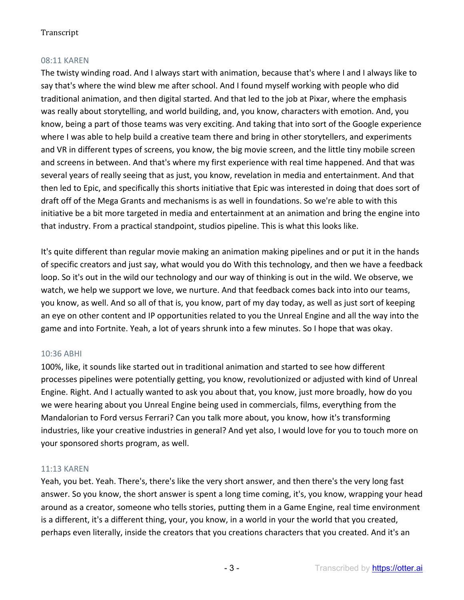## 08:11 KAREN

The twisty winding road. And I always start with animation, because that's where I and I always like to say that's where the wind blew me after school. And I found myself working with people who did traditional animation, and then digital started. And that led to the job at Pixar, where the emphasis was really about storytelling, and world building, and, you know, characters with emotion. And, you know, being a part of those teams was very exciting. And taking that into sort of the Google experience where I was able to help build a creative team there and bring in other storytellers, and experiments and VR in different types of screens, you know, the big movie screen, and the little tiny mobile screen and screens in between. And that's where my first experience with real time happened. And that was several years of really seeing that as just, you know, revelation in media and entertainment. And that then led to Epic, and specifically this shorts initiative that Epic was interested in doing that does sort of draft off of the Mega Grants and mechanisms is as well in foundations. So we're able to with this initiative be a bit more targeted in media and entertainment at an animation and bring the engine into that industry. From a practical standpoint, studios pipeline. This is what this looks like.

It's quite different than regular movie making an animation making pipelines and or put it in the hands of specific creators and just say, what would you do With this technology, and then we have a feedback loop. So it's out in the wild our technology and our way of thinking is out in the wild. We observe, we watch, we help we support we love, we nurture. And that feedback comes back into into our teams, you know, as well. And so all of that is, you know, part of my day today, as well as just sort of keeping an eye on other content and IP opportunities related to you the Unreal Engine and all the way into the game and into Fortnite. Yeah, a lot of years shrunk into a few minutes. So I hope that was okay.

### 10:36 ABHI

100%, like, it sounds like started out in traditional animation and started to see how different processes pipelines were potentially getting, you know, revolutionized or adjusted with kind of Unreal Engine. Right. And I actually wanted to ask you about that, you know, just more broadly, how do you we were hearing about you Unreal Engine being used in commercials, films, everything from the Mandalorian to Ford versus Ferrari? Can you talk more about, you know, how it's transforming industries, like your creative industries in general? And yet also, I would love for you to touch more on your sponsored shorts program, as well.

### 11:13 KAREN

Yeah, you bet. Yeah. There's, there's like the very short answer, and then there's the very long fast answer. So you know, the short answer is spent a long time coming, it's, you know, wrapping your head around as a creator, someone who tells stories, putting them in a Game Engine, real time environment is a different, it's a different thing, your, you know, in a world in your the world that you created, perhaps even literally, inside the creators that you creations characters that you created. And it's an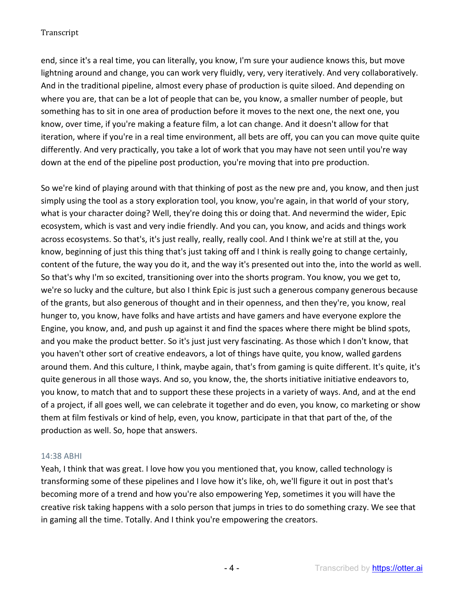end, since it's a real time, you can literally, you know, I'm sure your audience knows this, but move lightning around and change, you can work very fluidly, very, very iteratively. And very collaboratively. And in the traditional pipeline, almost every phase of production is quite siloed. And depending on where you are, that can be a lot of people that can be, you know, a smaller number of people, but something has to sit in one area of production before it moves to the next one, the next one, you know, over time, if you're making a feature film, a lot can change. And it doesn't allow for that iteration, where if you're in a real time environment, all bets are off, you can you can move quite quite differently. And very practically, you take a lot of work that you may have not seen until you're way down at the end of the pipeline post production, you're moving that into pre production.

So we're kind of playing around with that thinking of post as the new pre and, you know, and then just simply using the tool as a story exploration tool, you know, you're again, in that world of your story, what is your character doing? Well, they're doing this or doing that. And nevermind the wider, Epic ecosystem, which is vast and very indie friendly. And you can, you know, and acids and things work across ecosystems. So that's, it's just really, really, really cool. And I think we're at still at the, you know, beginning of just this thing that's just taking off and I think is really going to change certainly, content of the future, the way you do it, and the way it's presented out into the, into the world as well. So that's why I'm so excited, transitioning over into the shorts program. You know, you we get to, we're so lucky and the culture, but also I think Epic is just such a generous company generous because of the grants, but also generous of thought and in their openness, and then they're, you know, real hunger to, you know, have folks and have artists and have gamers and have everyone explore the Engine, you know, and, and push up against it and find the spaces where there might be blind spots, and you make the product better. So it's just just very fascinating. As those which I don't know, that you haven't other sort of creative endeavors, a lot of things have quite, you know, walled gardens around them. And this culture, I think, maybe again, that's from gaming is quite different. It's quite, it's quite generous in all those ways. And so, you know, the, the shorts initiative initiative endeavors to, you know, to match that and to support these these projects in a variety of ways. And, and at the end of a project, if all goes well, we can celebrate it together and do even, you know, co marketing or show them at film festivals or kind of help, even, you know, participate in that that part of the, of the production as well. So, hope that answers.

### 14:38 ABHI

Yeah, I think that was great. I love how you you mentioned that, you know, called technology is transforming some of these pipelines and I love how it's like, oh, we'll figure it out in post that's becoming more of a trend and how you're also empowering Yep, sometimes it you will have the creative risk taking happens with a solo person that jumps in tries to do something crazy. We see that in gaming all the time. Totally. And I think you're empowering the creators.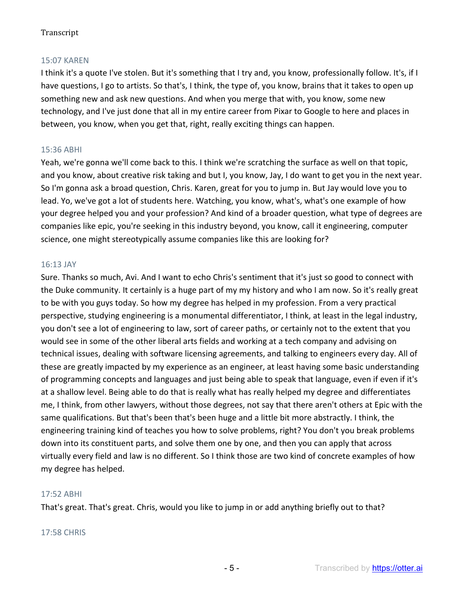## 15:07 KAREN

I think it's a quote I've stolen. But it's something that I try and, you know, professionally follow. It's, if I have questions, I go to artists. So that's, I think, the type of, you know, brains that it takes to open up something new and ask new questions. And when you merge that with, you know, some new technology, and I've just done that all in my entire career from Pixar to Google to here and places in between, you know, when you get that, right, really exciting things can happen.

## 15:36 ABHI

Yeah, we're gonna we'll come back to this. I think we're scratching the surface as well on that topic, and you know, about creative risk taking and but I, you know, Jay, I do want to get you in the next year. So I'm gonna ask a broad question, Chris. Karen, great for you to jump in. But Jay would love you to lead. Yo, we've got a lot of students here. Watching, you know, what's, what's one example of how your degree helped you and your profession? And kind of a broader question, what type of degrees are companies like epic, you're seeking in this industry beyond, you know, call it engineering, computer science, one might stereotypically assume companies like this are looking for?

### 16:13 JAY

Sure. Thanks so much, Avi. And I want to echo Chris's sentiment that it's just so good to connect with the Duke community. It certainly is a huge part of my my history and who I am now. So it's really great to be with you guys today. So how my degree has helped in my profession. From a very practical perspective, studying engineering is a monumental differentiator, I think, at least in the legal industry, you don't see a lot of engineering to law, sort of career paths, or certainly not to the extent that you would see in some of the other liberal arts fields and working at a tech company and advising on technical issues, dealing with software licensing agreements, and talking to engineers every day. All of these are greatly impacted by my experience as an engineer, at least having some basic understanding of programming concepts and languages and just being able to speak that language, even if even if it's at a shallow level. Being able to do that is really what has really helped my degree and differentiates me, I think, from other lawyers, without those degrees, not say that there aren't others at Epic with the same qualifications. But that's been that's been huge and a little bit more abstractly. I think, the engineering training kind of teaches you how to solve problems, right? You don't you break problems down into its constituent parts, and solve them one by one, and then you can apply that across virtually every field and law is no different. So I think those are two kind of concrete examples of how my degree has helped.

### 17:52 ABHI

That's great. That's great. Chris, would you like to jump in or add anything briefly out to that?

### 17:58 CHRIS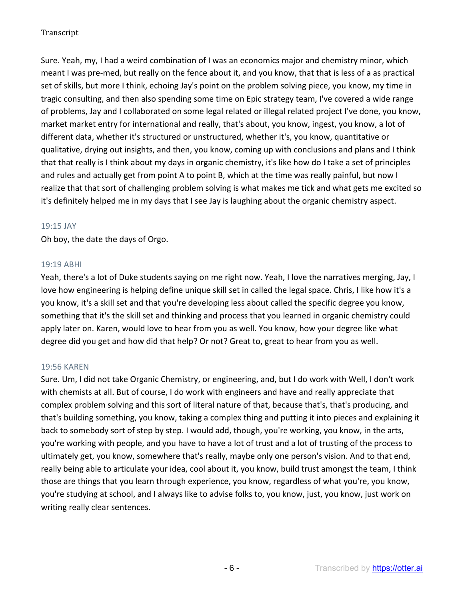Sure. Yeah, my, I had a weird combination of I was an economics major and chemistry minor, which meant I was pre-med, but really on the fence about it, and you know, that that is less of a as practical set of skills, but more I think, echoing Jay's point on the problem solving piece, you know, my time in tragic consulting, and then also spending some time on Epic strategy team, I've covered a wide range of problems, Jay and I collaborated on some legal related or illegal related project I've done, you know, market market entry for international and really, that's about, you know, ingest, you know, a lot of different data, whether it's structured or unstructured, whether it's, you know, quantitative or qualitative, drying out insights, and then, you know, coming up with conclusions and plans and I think that that really is I think about my days in organic chemistry, it's like how do I take a set of principles and rules and actually get from point A to point B, which at the time was really painful, but now I realize that that sort of challenging problem solving is what makes me tick and what gets me excited so it's definitely helped me in my days that I see Jay is laughing about the organic chemistry aspect.

### 19:15 JAY

Oh boy, the date the days of Orgo.

## 19:19 ABHI

Yeah, there's a lot of Duke students saying on me right now. Yeah, I love the narratives merging, Jay, I love how engineering is helping define unique skill set in called the legal space. Chris, I like how it's a you know, it's a skill set and that you're developing less about called the specific degree you know, something that it's the skill set and thinking and process that you learned in organic chemistry could apply later on. Karen, would love to hear from you as well. You know, how your degree like what degree did you get and how did that help? Or not? Great to, great to hear from you as well.

# 19:56 KAREN

Sure. Um, I did not take Organic Chemistry, or engineering, and, but I do work with Well, I don't work with chemists at all. But of course, I do work with engineers and have and really appreciate that complex problem solving and this sort of literal nature of that, because that's, that's producing, and that's building something, you know, taking a complex thing and putting it into pieces and explaining it back to somebody sort of step by step. I would add, though, you're working, you know, in the arts, you're working with people, and you have to have a lot of trust and a lot of trusting of the process to ultimately get, you know, somewhere that's really, maybe only one person's vision. And to that end, really being able to articulate your idea, cool about it, you know, build trust amongst the team, I think those are things that you learn through experience, you know, regardless of what you're, you know, you're studying at school, and I always like to advise folks to, you know, just, you know, just work on writing really clear sentences.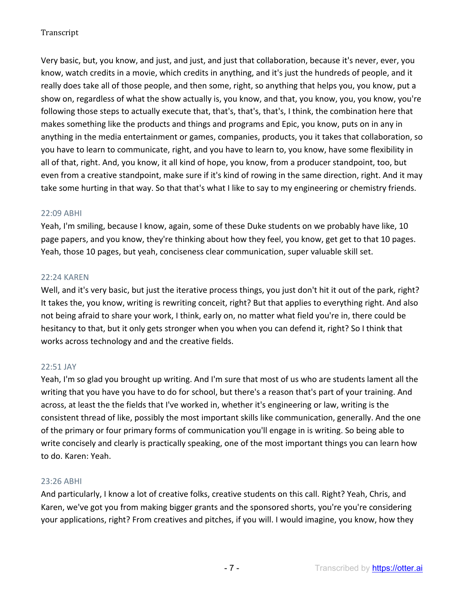Very basic, but, you know, and just, and just, and just that collaboration, because it's never, ever, you know, watch credits in a movie, which credits in anything, and it's just the hundreds of people, and it really does take all of those people, and then some, right, so anything that helps you, you know, put a show on, regardless of what the show actually is, you know, and that, you know, you, you know, you're following those steps to actually execute that, that's, that's, that's, I think, the combination here that makes something like the products and things and programs and Epic, you know, puts on in any in anything in the media entertainment or games, companies, products, you it takes that collaboration, so you have to learn to communicate, right, and you have to learn to, you know, have some flexibility in all of that, right. And, you know, it all kind of hope, you know, from a producer standpoint, too, but even from a creative standpoint, make sure if it's kind of rowing in the same direction, right. And it may take some hurting in that way. So that that's what I like to say to my engineering or chemistry friends.

### 22:09 ABHI

Yeah, I'm smiling, because I know, again, some of these Duke students on we probably have like, 10 page papers, and you know, they're thinking about how they feel, you know, get get to that 10 pages. Yeah, those 10 pages, but yeah, conciseness clear communication, super valuable skill set.

## 22:24 KAREN

Well, and it's very basic, but just the iterative process things, you just don't hit it out of the park, right? It takes the, you know, writing is rewriting conceit, right? But that applies to everything right. And also not being afraid to share your work, I think, early on, no matter what field you're in, there could be hesitancy to that, but it only gets stronger when you when you can defend it, right? So I think that works across technology and and the creative fields.

# 22:51 JAY

Yeah, I'm so glad you brought up writing. And I'm sure that most of us who are students lament all the writing that you have you have to do for school, but there's a reason that's part of your training. And across, at least the the fields that I've worked in, whether it's engineering or law, writing is the consistent thread of like, possibly the most important skills like communication, generally. And the one of the primary or four primary forms of communication you'll engage in is writing. So being able to write concisely and clearly is practically speaking, one of the most important things you can learn how to do. Karen: Yeah.

### 23:26 ABHI

And particularly, I know a lot of creative folks, creative students on this call. Right? Yeah, Chris, and Karen, we've got you from making bigger grants and the sponsored shorts, you're you're considering your applications, right? From creatives and pitches, if you will. I would imagine, you know, how they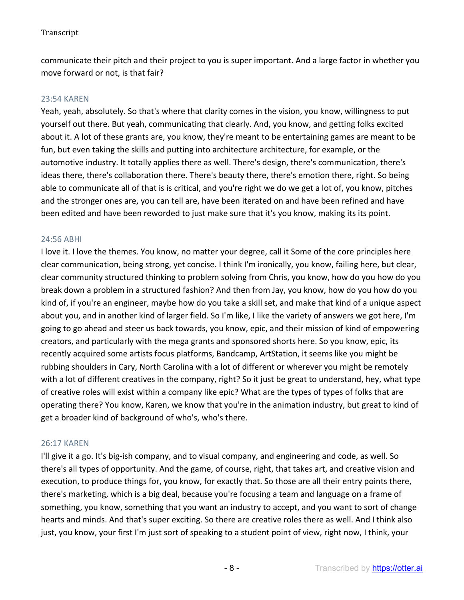communicate their pitch and their project to you is super important. And a large factor in whether you move forward or not, is that fair?

#### 23:54 KAREN

Yeah, yeah, absolutely. So that's where that clarity comes in the vision, you know, willingness to put yourself out there. But yeah, communicating that clearly. And, you know, and getting folks excited about it. A lot of these grants are, you know, they're meant to be entertaining games are meant to be fun, but even taking the skills and putting into architecture architecture, for example, or the automotive industry. It totally applies there as well. There's design, there's communication, there's ideas there, there's collaboration there. There's beauty there, there's emotion there, right. So being able to communicate all of that is is critical, and you're right we do we get a lot of, you know, pitches and the stronger ones are, you can tell are, have been iterated on and have been refined and have been edited and have been reworded to just make sure that it's you know, making its its point.

#### 24:56 ABHI

I love it. I love the themes. You know, no matter your degree, call it Some of the core principles here clear communication, being strong, yet concise. I think I'm ironically, you know, failing here, but clear, clear community structured thinking to problem solving from Chris, you know, how do you how do you break down a problem in a structured fashion? And then from Jay, you know, how do you how do you kind of, if you're an engineer, maybe how do you take a skill set, and make that kind of a unique aspect about you, and in another kind of larger field. So I'm like, I like the variety of answers we got here, I'm going to go ahead and steer us back towards, you know, epic, and their mission of kind of empowering creators, and particularly with the mega grants and sponsored shorts here. So you know, epic, its recently acquired some artists focus platforms, Bandcamp, ArtStation, it seems like you might be rubbing shoulders in Cary, North Carolina with a lot of different or wherever you might be remotely with a lot of different creatives in the company, right? So it just be great to understand, hey, what type of creative roles will exist within a company like epic? What are the types of types of folks that are operating there? You know, Karen, we know that you're in the animation industry, but great to kind of get a broader kind of background of who's, who's there.

### 26:17 KAREN

I'll give it a go. It's big-ish company, and to visual company, and engineering and code, as well. So there's all types of opportunity. And the game, of course, right, that takes art, and creative vision and execution, to produce things for, you know, for exactly that. So those are all their entry points there, there's marketing, which is a big deal, because you're focusing a team and language on a frame of something, you know, something that you want an industry to accept, and you want to sort of change hearts and minds. And that's super exciting. So there are creative roles there as well. And I think also just, you know, your first I'm just sort of speaking to a student point of view, right now, I think, your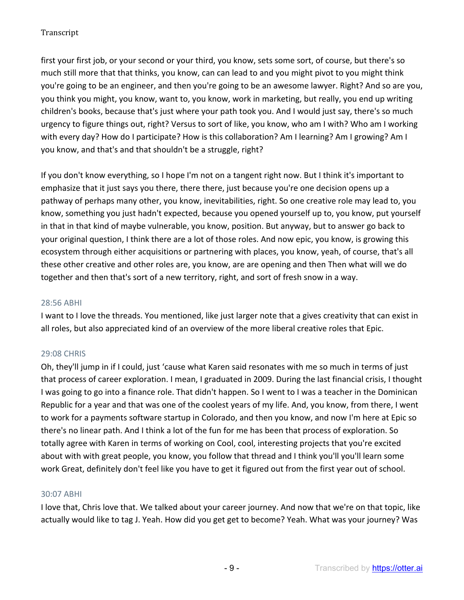first your first job, or your second or your third, you know, sets some sort, of course, but there's so much still more that that thinks, you know, can can lead to and you might pivot to you might think you're going to be an engineer, and then you're going to be an awesome lawyer. Right? And so are you, you think you might, you know, want to, you know, work in marketing, but really, you end up writing children's books, because that's just where your path took you. And I would just say, there's so much urgency to figure things out, right? Versus to sort of like, you know, who am I with? Who am I working with every day? How do I participate? How is this collaboration? Am I learning? Am I growing? Am I you know, and that's and that shouldn't be a struggle, right?

If you don't know everything, so I hope I'm not on a tangent right now. But I think it's important to emphasize that it just says you there, there there, just because you're one decision opens up a pathway of perhaps many other, you know, inevitabilities, right. So one creative role may lead to, you know, something you just hadn't expected, because you opened yourself up to, you know, put yourself in that in that kind of maybe vulnerable, you know, position. But anyway, but to answer go back to your original question, I think there are a lot of those roles. And now epic, you know, is growing this ecosystem through either acquisitions or partnering with places, you know, yeah, of course, that's all these other creative and other roles are, you know, are are opening and then Then what will we do together and then that's sort of a new territory, right, and sort of fresh snow in a way.

### 28:56 ABHI

I want to I love the threads. You mentioned, like just larger note that a gives creativity that can exist in all roles, but also appreciated kind of an overview of the more liberal creative roles that Epic.

### 29:08 CHRIS

Oh, they'll jump in if I could, just 'cause what Karen said resonates with me so much in terms of just that process of career exploration. I mean, I graduated in 2009. During the last financial crisis, I thought I was going to go into a finance role. That didn't happen. So I went to I was a teacher in the Dominican Republic for a year and that was one of the coolest years of my life. And, you know, from there, I went to work for a payments software startup in Colorado, and then you know, and now I'm here at Epic so there's no linear path. And I think a lot of the fun for me has been that process of exploration. So totally agree with Karen in terms of working on Cool, cool, interesting projects that you're excited about with with great people, you know, you follow that thread and I think you'll you'll learn some work Great, definitely don't feel like you have to get it figured out from the first year out of school.

### 30:07 ABHI

I love that, Chris love that. We talked about your career journey. And now that we're on that topic, like actually would like to tag J. Yeah. How did you get get to become? Yeah. What was your journey? Was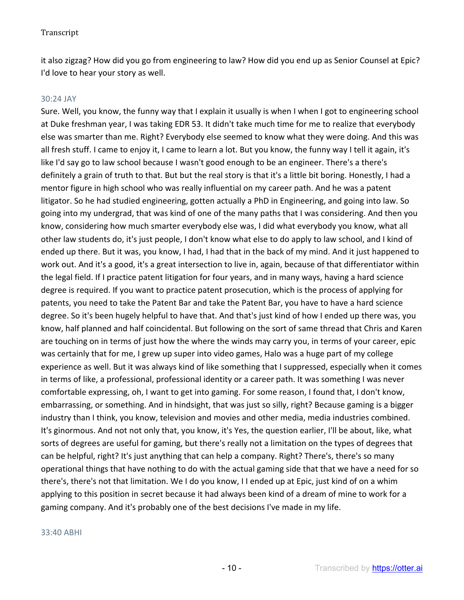it also zigzag? How did you go from engineering to law? How did you end up as Senior Counsel at Epic? I'd love to hear your story as well.

### 30:24 JAY

Sure. Well, you know, the funny way that I explain it usually is when I when I got to engineering school at Duke freshman year, I was taking EDR 53. It didn't take much time for me to realize that everybody else was smarter than me. Right? Everybody else seemed to know what they were doing. And this was all fresh stuff. I came to enjoy it, I came to learn a lot. But you know, the funny way I tell it again, it's like I'd say go to law school because I wasn't good enough to be an engineer. There's a there's definitely a grain of truth to that. But but the real story is that it's a little bit boring. Honestly, I had a mentor figure in high school who was really influential on my career path. And he was a patent litigator. So he had studied engineering, gotten actually a PhD in Engineering, and going into law. So going into my undergrad, that was kind of one of the many paths that I was considering. And then you know, considering how much smarter everybody else was, I did what everybody you know, what all other law students do, it's just people, I don't know what else to do apply to law school, and I kind of ended up there. But it was, you know, I had, I had that in the back of my mind. And it just happened to work out. And it's a good, it's a great intersection to live in, again, because of that differentiator within the legal field. If I practice patent litigation for four years, and in many ways, having a hard science degree is required. If you want to practice patent prosecution, which is the process of applying for patents, you need to take the Patent Bar and take the Patent Bar, you have to have a hard science degree. So it's been hugely helpful to have that. And that's just kind of how I ended up there was, you know, half planned and half coincidental. But following on the sort of same thread that Chris and Karen are touching on in terms of just how the where the winds may carry you, in terms of your career, epic was certainly that for me, I grew up super into video games, Halo was a huge part of my college experience as well. But it was always kind of like something that I suppressed, especially when it comes in terms of like, a professional, professional identity or a career path. It was something I was never comfortable expressing, oh, I want to get into gaming. For some reason, I found that, I don't know, embarrassing, or something. And in hindsight, that was just so silly, right? Because gaming is a bigger industry than I think, you know, television and movies and other media, media industries combined. It's ginormous. And not not only that, you know, it's Yes, the question earlier, I'll be about, like, what sorts of degrees are useful for gaming, but there's really not a limitation on the types of degrees that can be helpful, right? It's just anything that can help a company. Right? There's, there's so many operational things that have nothing to do with the actual gaming side that that we have a need for so there's, there's not that limitation. We I do you know, I I ended up at Epic, just kind of on a whim applying to this position in secret because it had always been kind of a dream of mine to work for a gaming company. And it's probably one of the best decisions I've made in my life.

#### 33:40 ABHI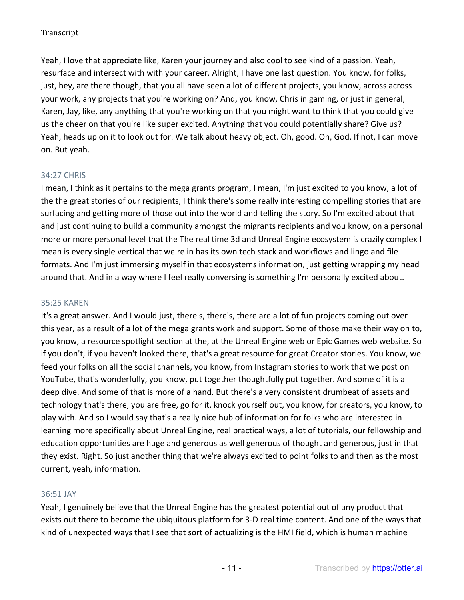Yeah, I love that appreciate like, Karen your journey and also cool to see kind of a passion. Yeah, resurface and intersect with with your career. Alright, I have one last question. You know, for folks, just, hey, are there though, that you all have seen a lot of different projects, you know, across across your work, any projects that you're working on? And, you know, Chris in gaming, or just in general, Karen, Jay, like, any anything that you're working on that you might want to think that you could give us the cheer on that you're like super excited. Anything that you could potentially share? Give us? Yeah, heads up on it to look out for. We talk about heavy object. Oh, good. Oh, God. If not, I can move on. But yeah.

## 34:27 CHRIS

I mean, I think as it pertains to the mega grants program, I mean, I'm just excited to you know, a lot of the the great stories of our recipients, I think there's some really interesting compelling stories that are surfacing and getting more of those out into the world and telling the story. So I'm excited about that and just continuing to build a community amongst the migrants recipients and you know, on a personal more or more personal level that the The real time 3d and Unreal Engine ecosystem is crazily complex I mean is every single vertical that we're in has its own tech stack and workflows and lingo and file formats. And I'm just immersing myself in that ecosystems information, just getting wrapping my head around that. And in a way where I feel really conversing is something I'm personally excited about.

### 35:25 KAREN

It's a great answer. And I would just, there's, there's, there are a lot of fun projects coming out over this year, as a result of a lot of the mega grants work and support. Some of those make their way on to, you know, a resource spotlight section at the, at the Unreal Engine web or Epic Games web website. So if you don't, if you haven't looked there, that's a great resource for great Creator stories. You know, we feed your folks on all the social channels, you know, from Instagram stories to work that we post on YouTube, that's wonderfully, you know, put together thoughtfully put together. And some of it is a deep dive. And some of that is more of a hand. But there's a very consistent drumbeat of assets and technology that's there, you are free, go for it, knock yourself out, you know, for creators, you know, to play with. And so I would say that's a really nice hub of information for folks who are interested in learning more specifically about Unreal Engine, real practical ways, a lot of tutorials, our fellowship and education opportunities are huge and generous as well generous of thought and generous, just in that they exist. Right. So just another thing that we're always excited to point folks to and then as the most current, yeah, information.

### 36:51 JAY

Yeah, I genuinely believe that the Unreal Engine has the greatest potential out of any product that exists out there to become the ubiquitous platform for 3-D real time content. And one of the ways that kind of unexpected ways that I see that sort of actualizing is the HMI field, which is human machine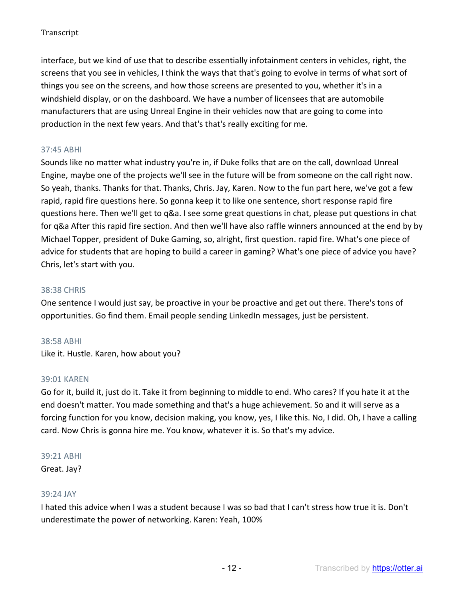interface, but we kind of use that to describe essentially infotainment centers in vehicles, right, the screens that you see in vehicles, I think the ways that that's going to evolve in terms of what sort of things you see on the screens, and how those screens are presented to you, whether it's in a windshield display, or on the dashboard. We have a number of licensees that are automobile manufacturers that are using Unreal Engine in their vehicles now that are going to come into production in the next few years. And that's that's really exciting for me.

## 37:45 ABHI

Sounds like no matter what industry you're in, if Duke folks that are on the call, download Unreal Engine, maybe one of the projects we'll see in the future will be from someone on the call right now. So yeah, thanks. Thanks for that. Thanks, Chris. Jay, Karen. Now to the fun part here, we've got a few rapid, rapid fire questions here. So gonna keep it to like one sentence, short response rapid fire questions here. Then we'll get to q&a. I see some great questions in chat, please put questions in chat for q&a After this rapid fire section. And then we'll have also raffle winners announced at the end by by Michael Topper, president of Duke Gaming, so, alright, first question. rapid fire. What's one piece of advice for students that are hoping to build a career in gaming? What's one piece of advice you have? Chris, let's start with you.

### 38:38 CHRIS

One sentence I would just say, be proactive in your be proactive and get out there. There's tons of opportunities. Go find them. Email people sending LinkedIn messages, just be persistent.

### 38:58 ABHI

Like it. Hustle. Karen, how about you?

### 39:01 KAREN

Go for it, build it, just do it. Take it from beginning to middle to end. Who cares? If you hate it at the end doesn't matter. You made something and that's a huge achievement. So and it will serve as a forcing function for you know, decision making, you know, yes, I like this. No, I did. Oh, I have a calling card. Now Chris is gonna hire me. You know, whatever it is. So that's my advice.

#### 39:21 ABHI

Great. Jay?

### 39:24 JAY

I hated this advice when I was a student because I was so bad that I can't stress how true it is. Don't underestimate the power of networking. Karen: Yeah, 100%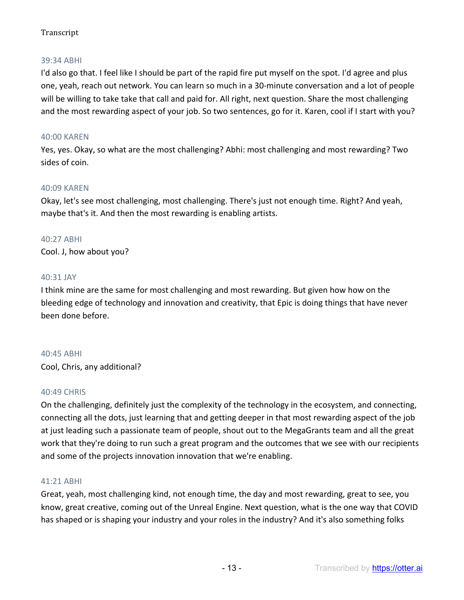## 39:34 ABHI

I'd also go that. I feel like I should be part of the rapid fire put myself on the spot. I'd agree and plus one, yeah, reach out network. You can learn so much in a 30-minute conversation and a lot of people will be willing to take take that call and paid for. All right, next question. Share the most challenging and the most rewarding aspect of your job. So two sentences, go for it. Karen, cool if I start with you?

## 40:00 KAREN

Yes, yes. Okay, so what are the most challenging? Abhi: most challenging and most rewarding? Two sides of coin.

### 40:09 KAREN

Okay, let's see most challenging, most challenging. There's just not enough time. Right? And yeah, maybe that's it. And then the most rewarding is enabling artists.

### 40:27 ABHI

Cool. J, how about you?

### 40:31 JAY

I think mine are the same for most challenging and most rewarding. But given how how on the bleeding edge of technology and innovation and creativity, that Epic is doing things that have never been done before.

### 40:45 ABHI

Cool, Chris, any additional?

### 40:49 CHRIS

On the challenging, definitely just the complexity of the technology in the ecosystem, and connecting, connecting all the dots, just learning that and getting deeper in that most rewarding aspect of the job at just leading such a passionate team of people, shout out to the MegaGrants team and all the great work that they're doing to run such a great program and the outcomes that we see with our recipients and some of the projects innovation innovation that we're enabling.

### 41:21 ABHI

Great, yeah, most challenging kind, not enough time, the day and most rewarding, great to see, you know, great creative, coming out of the Unreal Engine. Next question, what is the one way that COVID has shaped or is shaping your industry and your roles in the industry? And it's also something folks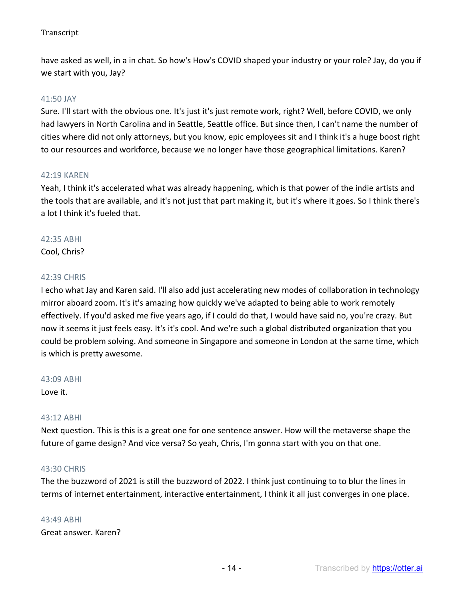have asked as well, in a in chat. So how's How's COVID shaped your industry or your role? Jay, do you if we start with you, Jay?

### 41:50 JAY

Sure. I'll start with the obvious one. It's just it's just remote work, right? Well, before COVID, we only had lawyers in North Carolina and in Seattle, Seattle office. But since then, I can't name the number of cities where did not only attorneys, but you know, epic employees sit and I think it's a huge boost right to our resources and workforce, because we no longer have those geographical limitations. Karen?

#### 42:19 KAREN

Yeah, I think it's accelerated what was already happening, which is that power of the indie artists and the tools that are available, and it's not just that part making it, but it's where it goes. So I think there's a lot I think it's fueled that.

### 42:35 ABHI

Cool, Chris?

#### 42:39 CHRIS

I echo what Jay and Karen said. I'll also add just accelerating new modes of collaboration in technology mirror aboard zoom. It's it's amazing how quickly we've adapted to being able to work remotely effectively. If you'd asked me five years ago, if I could do that, I would have said no, you're crazy. But now it seems it just feels easy. It's it's cool. And we're such a global distributed organization that you could be problem solving. And someone in Singapore and someone in London at the same time, which is which is pretty awesome.

#### 43:09 ABHI

Love it.

#### 43:12 ABHI

Next question. This is this is a great one for one sentence answer. How will the metaverse shape the future of game design? And vice versa? So yeah, Chris, I'm gonna start with you on that one.

### 43:30 CHRIS

The the buzzword of 2021 is still the buzzword of 2022. I think just continuing to to blur the lines in terms of internet entertainment, interactive entertainment, I think it all just converges in one place.

### 43:49 ABHI

Great answer. Karen?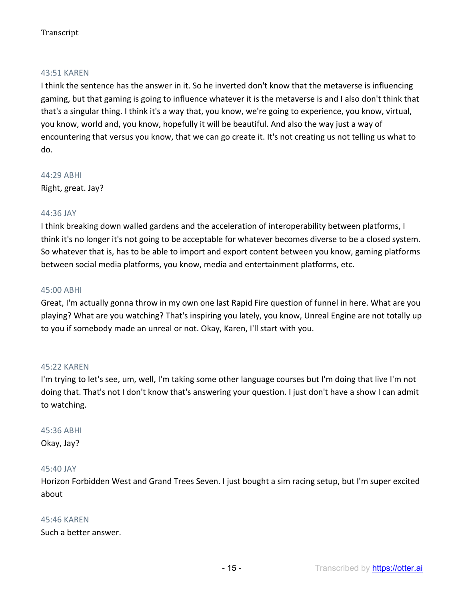#### 43:51 KAREN

I think the sentence has the answer in it. So he inverted don't know that the metaverse is influencing gaming, but that gaming is going to influence whatever it is the metaverse is and I also don't think that that's a singular thing. I think it's a way that, you know, we're going to experience, you know, virtual, you know, world and, you know, hopefully it will be beautiful. And also the way just a way of encountering that versus you know, that we can go create it. It's not creating us not telling us what to do.

44:29 ABHI Right, great. Jay?

#### 44:36 JAY

I think breaking down walled gardens and the acceleration of interoperability between platforms, I think it's no longer it's not going to be acceptable for whatever becomes diverse to be a closed system. So whatever that is, has to be able to import and export content between you know, gaming platforms between social media platforms, you know, media and entertainment platforms, etc.

#### 45:00 ABHI

Great, I'm actually gonna throw in my own one last Rapid Fire question of funnel in here. What are you playing? What are you watching? That's inspiring you lately, you know, Unreal Engine are not totally up to you if somebody made an unreal or not. Okay, Karen, I'll start with you.

#### 45:22 KAREN

I'm trying to let's see, um, well, I'm taking some other language courses but I'm doing that live I'm not doing that. That's not I don't know that's answering your question. I just don't have a show I can admit to watching.

#### 45:36 ABHI

Okay, Jay?

#### 45:40 JAY

Horizon Forbidden West and Grand Trees Seven. I just bought a sim racing setup, but I'm super excited about

#### 45:46 KAREN

Such a better answer.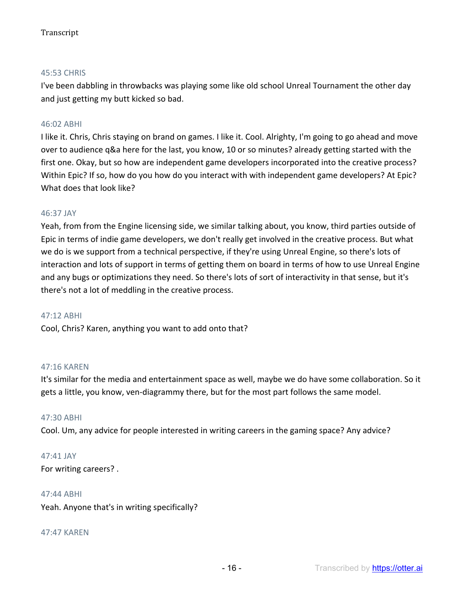## 45:53 CHRIS

I've been dabbling in throwbacks was playing some like old school Unreal Tournament the other day and just getting my butt kicked so bad.

## 46:02 ABHI

I like it. Chris, Chris staying on brand on games. I like it. Cool. Alrighty, I'm going to go ahead and move over to audience q&a here for the last, you know, 10 or so minutes? already getting started with the first one. Okay, but so how are independent game developers incorporated into the creative process? Within Epic? If so, how do you how do you interact with with independent game developers? At Epic? What does that look like?

### 46:37 JAY

Yeah, from from the Engine licensing side, we similar talking about, you know, third parties outside of Epic in terms of indie game developers, we don't really get involved in the creative process. But what we do is we support from a technical perspective, if they're using Unreal Engine, so there's lots of interaction and lots of support in terms of getting them on board in terms of how to use Unreal Engine and any bugs or optimizations they need. So there's lots of sort of interactivity in that sense, but it's there's not a lot of meddling in the creative process.

#### 47:12 ABHI

Cool, Chris? Karen, anything you want to add onto that?

### 47:16 KAREN

It's similar for the media and entertainment space as well, maybe we do have some collaboration. So it gets a little, you know, ven-diagrammy there, but for the most part follows the same model.

#### 47:30 ABHI

Cool. Um, any advice for people interested in writing careers in the gaming space? Any advice?

### 47:41 JAY

For writing careers? .

#### 47:44 ABHI

Yeah. Anyone that's in writing specifically?

#### 47:47 KAREN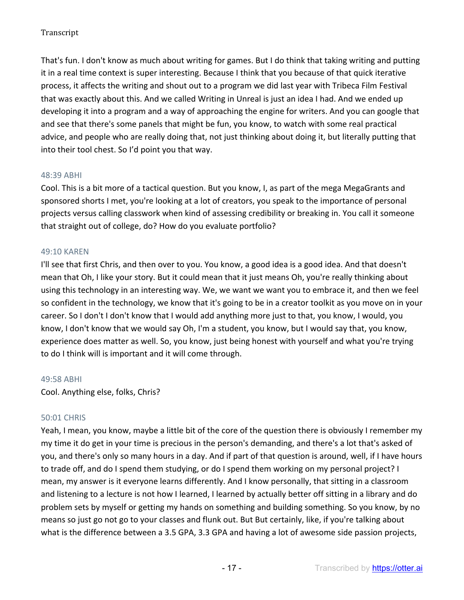That's fun. I don't know as much about writing for games. But I do think that taking writing and putting it in a real time context is super interesting. Because I think that you because of that quick iterative process, it affects the writing and shout out to a program we did last year with Tribeca Film Festival that was exactly about this. And we called Writing in Unreal is just an idea I had. And we ended up developing it into a program and a way of approaching the engine for writers. And you can google that and see that there's some panels that might be fun, you know, to watch with some real practical advice, and people who are really doing that, not just thinking about doing it, but literally putting that into their tool chest. So I'd point you that way.

### 48:39 ABHI

Cool. This is a bit more of a tactical question. But you know, I, as part of the mega MegaGrants and sponsored shorts I met, you're looking at a lot of creators, you speak to the importance of personal projects versus calling classwork when kind of assessing credibility or breaking in. You call it someone that straight out of college, do? How do you evaluate portfolio?

## 49:10 KAREN

I'll see that first Chris, and then over to you. You know, a good idea is a good idea. And that doesn't mean that Oh, I like your story. But it could mean that it just means Oh, you're really thinking about using this technology in an interesting way. We, we want we want you to embrace it, and then we feel so confident in the technology, we know that it's going to be in a creator toolkit as you move on in your career. So I don't I don't know that I would add anything more just to that, you know, I would, you know, I don't know that we would say Oh, I'm a student, you know, but I would say that, you know, experience does matter as well. So, you know, just being honest with yourself and what you're trying to do I think will is important and it will come through.

### 49:58 ABHI

Cool. Anything else, folks, Chris?

# 50:01 CHRIS

Yeah, I mean, you know, maybe a little bit of the core of the question there is obviously I remember my my time it do get in your time is precious in the person's demanding, and there's a lot that's asked of you, and there's only so many hours in a day. And if part of that question is around, well, if I have hours to trade off, and do I spend them studying, or do I spend them working on my personal project? I mean, my answer is it everyone learns differently. And I know personally, that sitting in a classroom and listening to a lecture is not how I learned, I learned by actually better off sitting in a library and do problem sets by myself or getting my hands on something and building something. So you know, by no means so just go not go to your classes and flunk out. But But certainly, like, if you're talking about what is the difference between a 3.5 GPA, 3.3 GPA and having a lot of awesome side passion projects,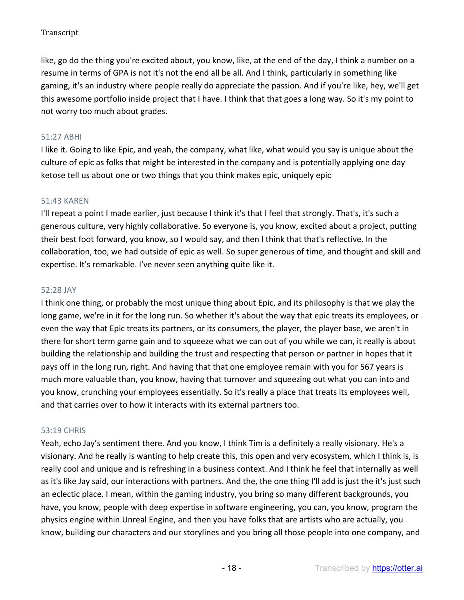like, go do the thing you're excited about, you know, like, at the end of the day, I think a number on a resume in terms of GPA is not it's not the end all be all. And I think, particularly in something like gaming, it's an industry where people really do appreciate the passion. And if you're like, hey, we'll get this awesome portfolio inside project that I have. I think that that goes a long way. So it's my point to not worry too much about grades.

# 51:27 ABHI

I like it. Going to like Epic, and yeah, the company, what like, what would you say is unique about the culture of epic as folks that might be interested in the company and is potentially applying one day ketose tell us about one or two things that you think makes epic, uniquely epic

### 51:43 KAREN

I'll repeat a point I made earlier, just because I think it's that I feel that strongly. That's, it's such a generous culture, very highly collaborative. So everyone is, you know, excited about a project, putting their best foot forward, you know, so I would say, and then I think that that's reflective. In the collaboration, too, we had outside of epic as well. So super generous of time, and thought and skill and expertise. It's remarkable. I've never seen anything quite like it.

#### 52:28 JAY

I think one thing, or probably the most unique thing about Epic, and its philosophy is that we play the long game, we're in it for the long run. So whether it's about the way that epic treats its employees, or even the way that Epic treats its partners, or its consumers, the player, the player base, we aren't in there for short term game gain and to squeeze what we can out of you while we can, it really is about building the relationship and building the trust and respecting that person or partner in hopes that it pays off in the long run, right. And having that that one employee remain with you for 567 years is much more valuable than, you know, having that turnover and squeezing out what you can into and you know, crunching your employees essentially. So it's really a place that treats its employees well, and that carries over to how it interacts with its external partners too.

### 53:19 CHRIS

Yeah, echo Jay's sentiment there. And you know, I think Tim is a definitely a really visionary. He's a visionary. And he really is wanting to help create this, this open and very ecosystem, which I think is, is really cool and unique and is refreshing in a business context. And I think he feel that internally as well as it's like Jay said, our interactions with partners. And the, the one thing I'll add is just the it's just such an eclectic place. I mean, within the gaming industry, you bring so many different backgrounds, you have, you know, people with deep expertise in software engineering, you can, you know, program the physics engine within Unreal Engine, and then you have folks that are artists who are actually, you know, building our characters and our storylines and you bring all those people into one company, and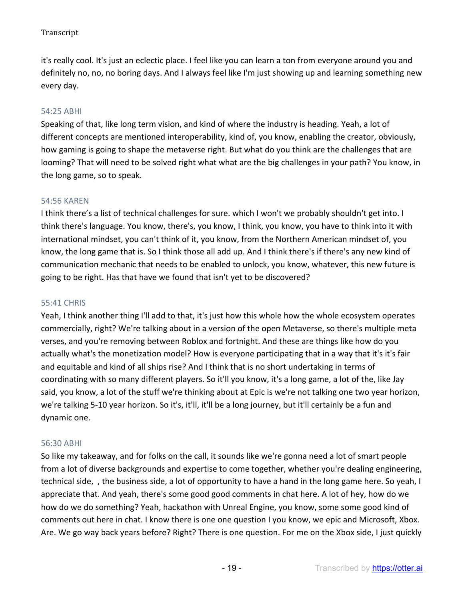it's really cool. It's just an eclectic place. I feel like you can learn a ton from everyone around you and definitely no, no, no boring days. And I always feel like I'm just showing up and learning something new every day.

## 54:25 ABHI

Speaking of that, like long term vision, and kind of where the industry is heading. Yeah, a lot of different concepts are mentioned interoperability, kind of, you know, enabling the creator, obviously, how gaming is going to shape the metaverse right. But what do you think are the challenges that are looming? That will need to be solved right what what are the big challenges in your path? You know, in the long game, so to speak.

### 54:56 KAREN

I think there's a list of technical challenges for sure. which I won't we probably shouldn't get into. I think there's language. You know, there's, you know, I think, you know, you have to think into it with international mindset, you can't think of it, you know, from the Northern American mindset of, you know, the long game that is. So I think those all add up. And I think there's if there's any new kind of communication mechanic that needs to be enabled to unlock, you know, whatever, this new future is going to be right. Has that have we found that isn't yet to be discovered?

#### 55:41 CHRIS

Yeah, I think another thing I'll add to that, it's just how this whole how the whole ecosystem operates commercially, right? We're talking about in a version of the open Metaverse, so there's multiple meta verses, and you're removing between Roblox and fortnight. And these are things like how do you actually what's the monetization model? How is everyone participating that in a way that it's it's fair and equitable and kind of all ships rise? And I think that is no short undertaking in terms of coordinating with so many different players. So it'll you know, it's a long game, a lot of the, like Jay said, you know, a lot of the stuff we're thinking about at Epic is we're not talking one two year horizon, we're talking 5-10 year horizon. So it's, it'll, it'll be a long journey, but it'll certainly be a fun and dynamic one.

#### 56:30 ABHI

So like my takeaway, and for folks on the call, it sounds like we're gonna need a lot of smart people from a lot of diverse backgrounds and expertise to come together, whether you're dealing engineering, technical side, , the business side, a lot of opportunity to have a hand in the long game here. So yeah, I appreciate that. And yeah, there's some good good comments in chat here. A lot of hey, how do we how do we do something? Yeah, hackathon with Unreal Engine, you know, some some good kind of comments out here in chat. I know there is one one question I you know, we epic and Microsoft, Xbox. Are. We go way back years before? Right? There is one question. For me on the Xbox side, I just quickly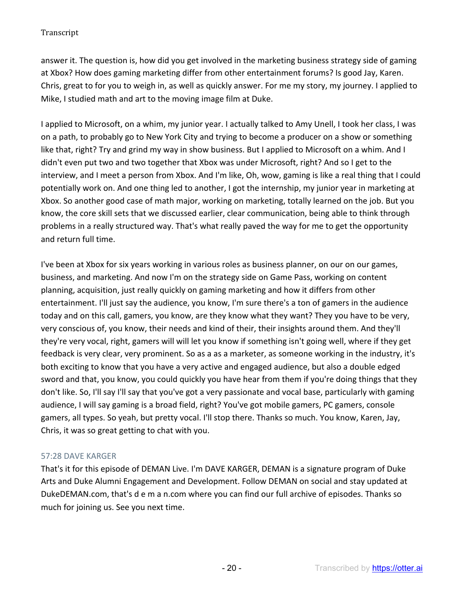answer it. The question is, how did you get involved in the marketing business strategy side of gaming at Xbox? How does gaming marketing differ from other entertainment forums? Is good Jay, Karen. Chris, great to for you to weigh in, as well as quickly answer. For me my story, my journey. I applied to Mike, I studied math and art to the moving image film at Duke.

I applied to Microsoft, on a whim, my junior year. I actually talked to Amy Unell, I took her class, I was on a path, to probably go to New York City and trying to become a producer on a show or something like that, right? Try and grind my way in show business. But I applied to Microsoft on a whim. And I didn't even put two and two together that Xbox was under Microsoft, right? And so I get to the interview, and I meet a person from Xbox. And I'm like, Oh, wow, gaming is like a real thing that I could potentially work on. And one thing led to another, I got the internship, my junior year in marketing at Xbox. So another good case of math major, working on marketing, totally learned on the job. But you know, the core skill sets that we discussed earlier, clear communication, being able to think through problems in a really structured way. That's what really paved the way for me to get the opportunity and return full time.

I've been at Xbox for six years working in various roles as business planner, on our on our games, business, and marketing. And now I'm on the strategy side on Game Pass, working on content planning, acquisition, just really quickly on gaming marketing and how it differs from other entertainment. I'll just say the audience, you know, I'm sure there's a ton of gamers in the audience today and on this call, gamers, you know, are they know what they want? They you have to be very, very conscious of, you know, their needs and kind of their, their insights around them. And they'll they're very vocal, right, gamers will will let you know if something isn't going well, where if they get feedback is very clear, very prominent. So as a as a marketer, as someone working in the industry, it's both exciting to know that you have a very active and engaged audience, but also a double edged sword and that, you know, you could quickly you have hear from them if you're doing things that they don't like. So, I'll say I'll say that you've got a very passionate and vocal base, particularly with gaming audience, I will say gaming is a broad field, right? You've got mobile gamers, PC gamers, console gamers, all types. So yeah, but pretty vocal. I'll stop there. Thanks so much. You know, Karen, Jay, Chris, it was so great getting to chat with you.

# 57:28 DAVE KARGER

That's it for this episode of DEMAN Live. I'm DAVE KARGER, DEMAN is a signature program of Duke Arts and Duke Alumni Engagement and Development. Follow DEMAN on social and stay updated at DukeDEMAN.com, that's d e m a n.com where you can find our full archive of episodes. Thanks so much for joining us. See you next time.